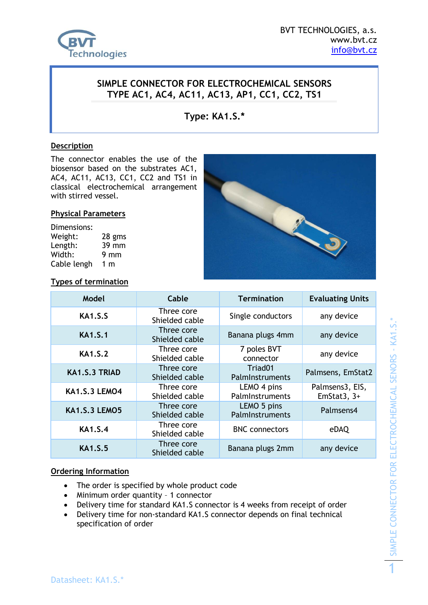

## **SIMPLE CONNECTOR FOR ELECTROCHEMICAL SENSORS TYPE AC1, AC4, AC11, AC13, AP1, CC1, CC2, TS1**

**Type: KA1.S.\***

#### **Description**

The connector enables the use of the biosensor based on the substrates AC1, AC4, AC11, AC13, CC1, CC2 and TS1 in classical electrochemical arrangement with stirred vessel.

#### **Physical Parameters**

Dimensions: Weight: 28 gms Length: 39 mm Width: 9 mm Cable lengh 1 m



**Types of termination**

| Model                | Cable                        | <b>Termination</b>                     | <b>Evaluating Units</b>          |
|----------------------|------------------------------|----------------------------------------|----------------------------------|
| <b>KA1.S.S</b>       | Three core<br>Shielded cable | Single conductors                      | any device                       |
| <b>KA1.S.1</b>       | Three core<br>Shielded cable | Banana plugs 4mm                       | any device                       |
| <b>KA1.S.2</b>       | Three core<br>Shielded cable | 7 poles BVT<br>connector               | any device                       |
| KA1.S.3 TRIAD        | Three core<br>Shielded cable | Triad <sub>01</sub><br>PalmInstruments | Palmsens, EmStat2                |
| <b>KA1.S.3 LEMO4</b> | Three core<br>Shielded cable | LEMO 4 pins<br>PalmInstruments         | Palmsens3, EIS,<br>EmStat3, $3+$ |
| <b>KA1.S.3 LEMO5</b> | Three core<br>Shielded cable | LEMO 5 pins<br>PalmInstruments         | Palmsens4                        |
| <b>KA1.S.4</b>       | Three core<br>Shielded cable | <b>BNC</b> connectors                  | eDAQ                             |
| <b>KA1.S.5</b>       | Three core<br>Shielded cable | Banana plugs 2mm                       | any device                       |

### **Ordering Information**

- The order is specified by whole product code
- Minimum order quantity 1 connector
- Delivery time for standard KA1.S connector is 4 weeks from receipt of order
- Delivery time for non-standard KA1.S connector depends on final technical specification of order